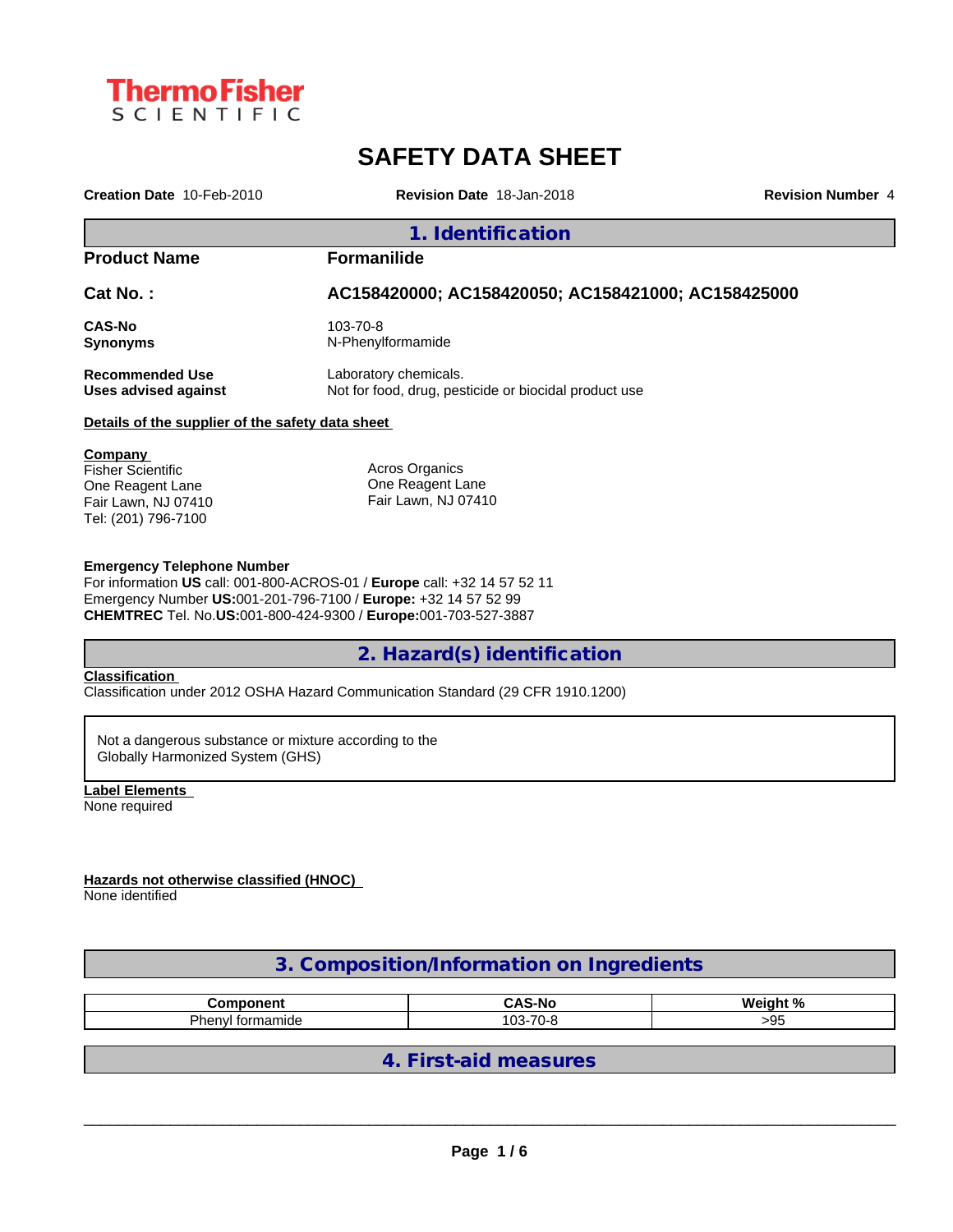

## **SAFETY DATA SHEET**

**Creation Date** 10-Feb-2010 **Revision Date** 18-Jan-2018 **Revision Number** 4

#### **1. Identification**

**Product Name Formanilide**

**Cat No. : AC158420000; AC158420050; AC158421000; AC158425000**

**CAS-No** 103-70-8<br> **Synonyms** N-Phenyl

**Synonyms** N-Phenylformamide

**Recommended Use** Laboratory chemicals.

**Uses advised against** Not for food, drug, pesticide or biocidal product use

#### **Details of the supplier of the safety data sheet**

**Company**  Fisher Scientific One Reagent Lane Fair Lawn, NJ 07410 Tel: (201) 796-7100

Acros Organics One Reagent Lane Fair Lawn, NJ 07410

#### **Emergency Telephone Number**

For information **US** call: 001-800-ACROS-01 / **Europe** call: +32 14 57 52 11 Emergency Number **US:**001-201-796-7100 / **Europe:** +32 14 57 52 99 **CHEMTREC** Tel. No.**US:**001-800-424-9300 / **Europe:**001-703-527-3887

### **2. Hazard(s) identification**

#### **Classification**

Classification under 2012 OSHA Hazard Communication Standard (29 CFR 1910.1200)

Not a dangerous substance or mixture according to the Globally Harmonized System (GHS)

**Label Elements** None required

**Hazards not otherwise classified (HNOC)**

None identified

### **3. Composition/Information on Ingredients**

| .<br>                                                   | ۰Nc<br>.                                   | . n/<br>. .<br>,, |
|---------------------------------------------------------|--------------------------------------------|-------------------|
| -<br>201<br>$\cdot$<br>־ייובי<br>- TOI<br>ner<br>наннис | $\overline{\phantom{a}}$<br>م م<br>--<br>. | .                 |

**4. First-aid measures**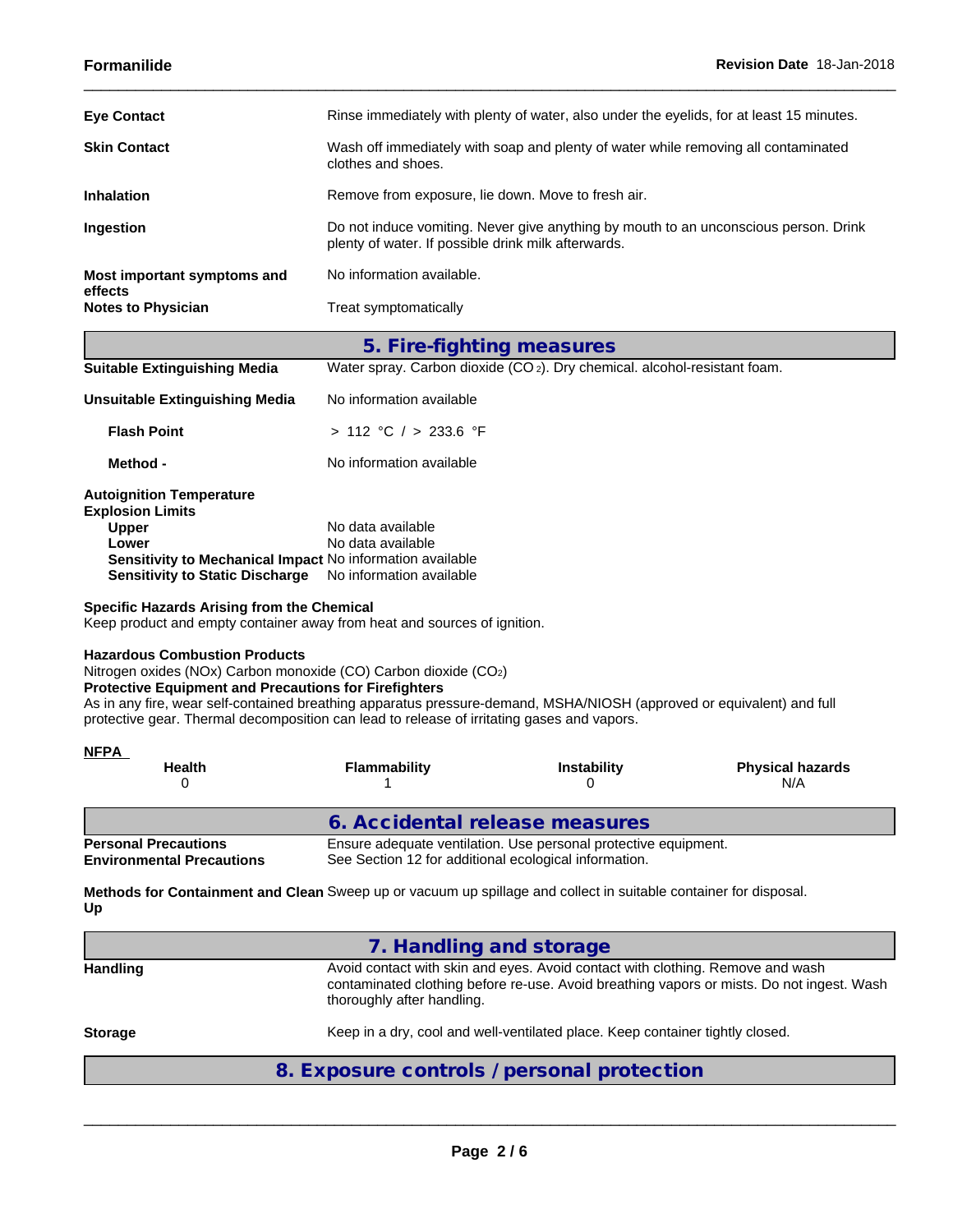| No information available.                                                                                                                   |
|---------------------------------------------------------------------------------------------------------------------------------------------|
|                                                                                                                                             |
| Do not induce vomiting. Never give anything by mouth to an unconscious person. Drink<br>plenty of water. If possible drink milk afterwards. |
| Remove from exposure, lie down. Move to fresh air.                                                                                          |
| Wash off immediately with soap and plenty of water while removing all contaminated<br>clothes and shoes.                                    |
| Rinse immediately with plenty of water, also under the eyelids, for at least 15 minutes.                                                    |
|                                                                                                                                             |

| <b>Suitable Extinguishing Media</b>                                                                                                                                                        | Water spray. Carbon dioxide (CO <sub>2</sub> ). Dry chemical. alcohol-resistant foam. |
|--------------------------------------------------------------------------------------------------------------------------------------------------------------------------------------------|---------------------------------------------------------------------------------------|
| Unsuitable Extinguishing Media                                                                                                                                                             | No information available                                                              |
| <b>Flash Point</b>                                                                                                                                                                         | > 112 °C / > 233.6 °F                                                                 |
| Method -                                                                                                                                                                                   | No information available                                                              |
| <b>Autoignition Temperature</b><br><b>Explosion Limits</b><br><b>Upper</b><br>Lower<br>Sensitivity to Mechanical Impact No information available<br><b>Sensitivity to Static Discharge</b> | No data available<br>No data available<br>No information available                    |

#### **Specific Hazards Arising from the Chemical**

Keep product and empty container away from heat and sources of ignition.

#### **Hazardous Combustion Products**

Nitrogen oxides (NOx) Carbon monoxide (CO) Carbon dioxide (CO2)

#### **Protective Equipment and Precautions for Firefighters**

As in any fire, wear self-contained breathing apparatus pressure-demand, MSHA/NIOSH (approved or equivalent) and full protective gear. Thermal decomposition can lead to release of irritating gases and vapors.

| <b>NFPA</b><br><b>Health</b>                                    | <b>Flammability</b>                                                                                                      | <b>Instability</b> | <b>Physical hazards</b><br>N/A |  |  |  |  |
|-----------------------------------------------------------------|--------------------------------------------------------------------------------------------------------------------------|--------------------|--------------------------------|--|--|--|--|
|                                                                 | 6. Accidental release measures                                                                                           |                    |                                |  |  |  |  |
| <b>Personal Precautions</b><br><b>Environmental Precautions</b> | Ensure adequate ventilation. Use personal protective equipment.<br>See Section 12 for additional ecological information. |                    |                                |  |  |  |  |

**Methods for Containment and Clean** Sweep up or vacuum up spillage and collect in suitable container for disposal. **Up**

|                 | 7. Handling and storage                                                                                                                                                                                   |
|-----------------|-----------------------------------------------------------------------------------------------------------------------------------------------------------------------------------------------------------|
| <b>Handling</b> | Avoid contact with skin and eyes. Avoid contact with clothing. Remove and wash<br>contaminated clothing before re-use. Avoid breathing vapors or mists. Do not ingest. Wash<br>thoroughly after handling. |
| <b>Storage</b>  | Keep in a dry, cool and well-ventilated place. Keep container tightly closed.                                                                                                                             |
|                 | 8. Exposure controls / personal protection                                                                                                                                                                |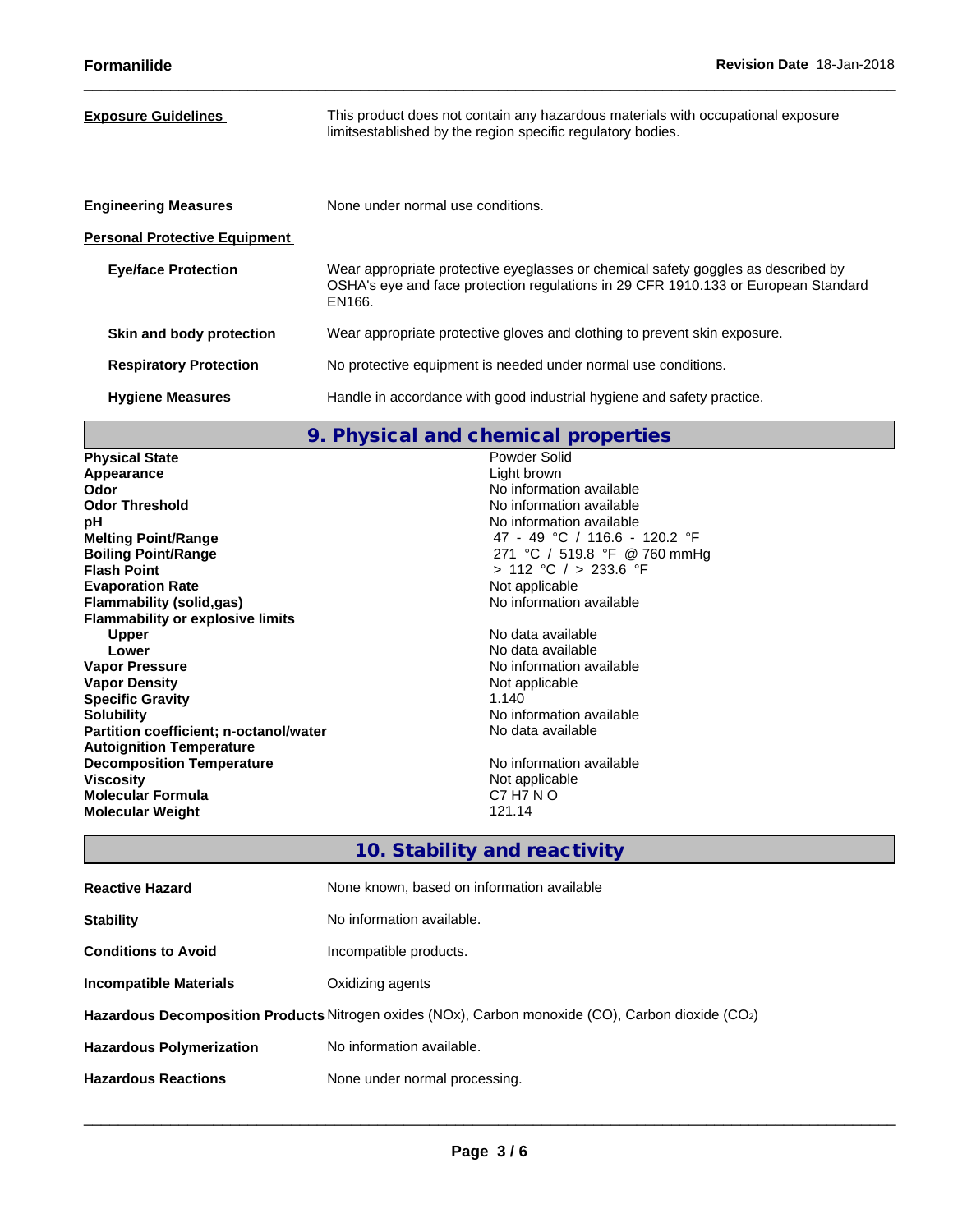| <b>Exposure Guidelines</b>           | This product does not contain any hazardous materials with occupational exposure<br>limitsestablished by the region specific regulatory bodies.                                   |
|--------------------------------------|-----------------------------------------------------------------------------------------------------------------------------------------------------------------------------------|
| <b>Engineering Measures</b>          | None under normal use conditions.                                                                                                                                                 |
| <b>Personal Protective Equipment</b> |                                                                                                                                                                                   |
| <b>Eye/face Protection</b>           | Wear appropriate protective eyeglasses or chemical safety goggles as described by<br>OSHA's eye and face protection regulations in 29 CFR 1910.133 or European Standard<br>EN166. |
| Skin and body protection             | Wear appropriate protective gloves and clothing to prevent skin exposure.                                                                                                         |
| <b>Respiratory Protection</b>        | No protective equipment is needed under normal use conditions.                                                                                                                    |
| <b>Hygiene Measures</b>              | Handle in accordance with good industrial hygiene and safety practice.                                                                                                            |
|                                      |                                                                                                                                                                                   |

# **9. Physical and chemical properties**

| <b>Physical State</b>                   | Powder Solid                  |
|-----------------------------------------|-------------------------------|
| Appearance                              | Light brown                   |
| Odor                                    | No information available      |
| <b>Odor Threshold</b>                   | No information available      |
| рH                                      | No information available      |
| <b>Melting Point/Range</b>              | 47 - 49 °C / 116.6 - 120.2 °F |
| <b>Boiling Point/Range</b>              | 271 °C / 519.8 °F @ 760 mmHg  |
| <b>Flash Point</b>                      | $> 112$ °C $/$ > 233.6 °F     |
| <b>Evaporation Rate</b>                 | Not applicable                |
| Flammability (solid,gas)                | No information available      |
| <b>Flammability or explosive limits</b> |                               |
| <b>Upper</b>                            | No data available             |
| Lower                                   | No data available             |
| <b>Vapor Pressure</b>                   | No information available      |
| <b>Vapor Density</b>                    | Not applicable                |
| <b>Specific Gravity</b>                 | 1.140                         |
| <b>Solubility</b>                       | No information available      |
| Partition coefficient; n-octanol/water  | No data available             |
| <b>Autoignition Temperature</b>         |                               |
| <b>Decomposition Temperature</b>        | No information available      |
| <b>Viscosity</b>                        | Not applicable                |
| <b>Molecular Formula</b>                | C7 H7 N O                     |
| <b>Molecular Weight</b>                 | 121.14                        |
|                                         |                               |

# **10. Stability and reactivity**

| <b>Reactive Hazard</b>                                                                             | None known, based on information available |  |  |  |  |
|----------------------------------------------------------------------------------------------------|--------------------------------------------|--|--|--|--|
| <b>Stability</b>                                                                                   | No information available.                  |  |  |  |  |
| <b>Conditions to Avoid</b>                                                                         | Incompatible products.                     |  |  |  |  |
| <b>Incompatible Materials</b>                                                                      | Oxidizing agents                           |  |  |  |  |
| Hazardous Decomposition Products Nitrogen oxides (NOx), Carbon monoxide (CO), Carbon dioxide (CO2) |                                            |  |  |  |  |
| <b>Hazardous Polymerization</b>                                                                    | No information available.                  |  |  |  |  |
| <b>Hazardous Reactions</b>                                                                         | None under normal processing.              |  |  |  |  |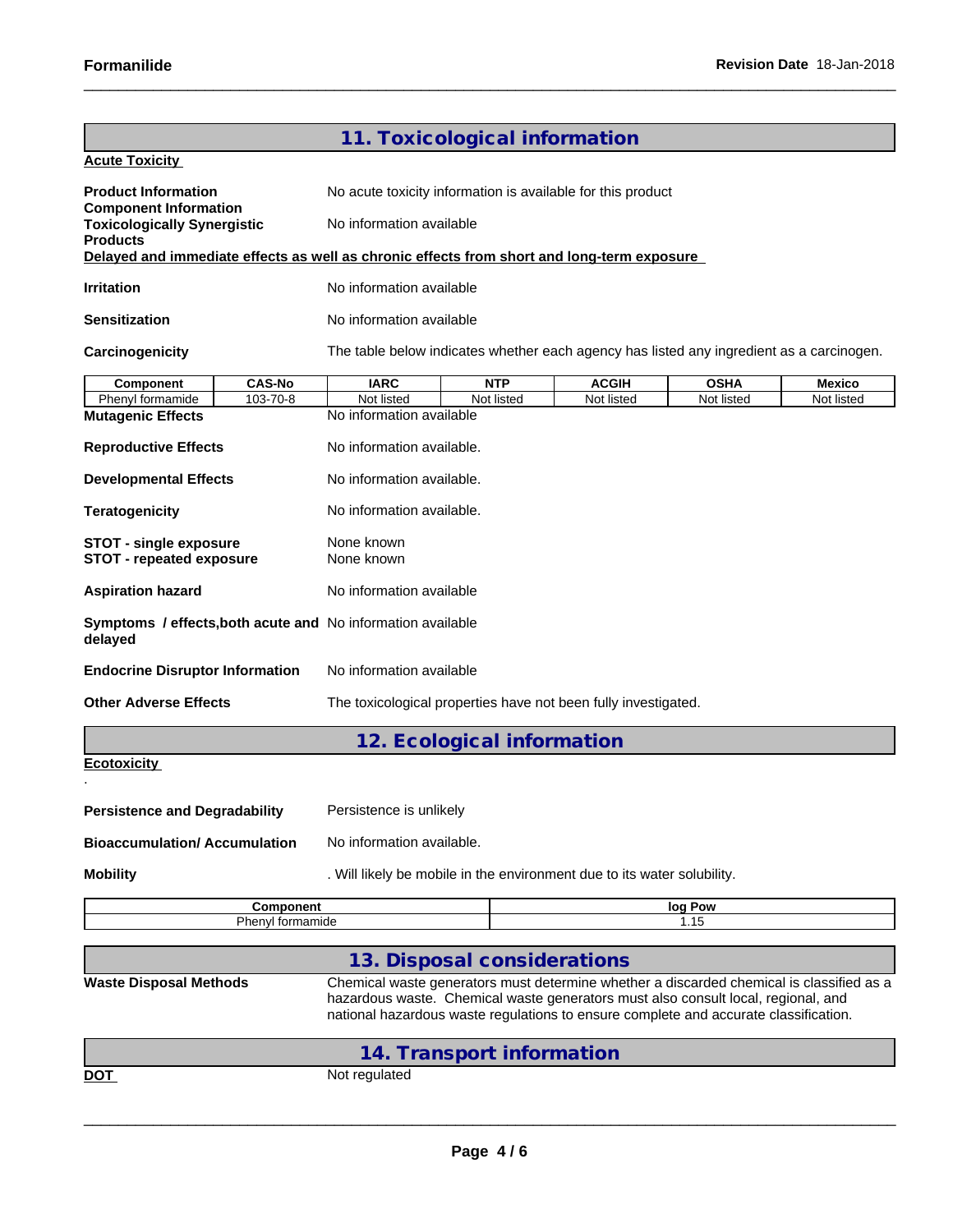|                                                                                                               |                                                                                                                                                                           | 11. Toxicological information                               |                                                                                          |             |            |  |  |  |
|---------------------------------------------------------------------------------------------------------------|---------------------------------------------------------------------------------------------------------------------------------------------------------------------------|-------------------------------------------------------------|------------------------------------------------------------------------------------------|-------------|------------|--|--|--|
| <b>Acute Toxicity</b>                                                                                         |                                                                                                                                                                           |                                                             |                                                                                          |             |            |  |  |  |
| <b>Product Information</b><br><b>Component Information</b>                                                    |                                                                                                                                                                           | No acute toxicity information is available for this product |                                                                                          |             |            |  |  |  |
| <b>Toxicologically Synergistic</b>                                                                            | No information available                                                                                                                                                  |                                                             |                                                                                          |             |            |  |  |  |
| <b>Products</b><br>Delayed and immediate effects as well as chronic effects from short and long-term exposure |                                                                                                                                                                           |                                                             |                                                                                          |             |            |  |  |  |
|                                                                                                               |                                                                                                                                                                           |                                                             |                                                                                          |             |            |  |  |  |
| <b>Irritation</b>                                                                                             | No information available                                                                                                                                                  |                                                             |                                                                                          |             |            |  |  |  |
| <b>Sensitization</b>                                                                                          | No information available                                                                                                                                                  |                                                             |                                                                                          |             |            |  |  |  |
| Carcinogenicity                                                                                               |                                                                                                                                                                           |                                                             | The table below indicates whether each agency has listed any ingredient as a carcinogen. |             |            |  |  |  |
| <b>CAS-No</b><br>Component                                                                                    | <b>IARC</b>                                                                                                                                                               | <b>NTP</b>                                                  | <b>ACGIH</b>                                                                             | <b>OSHA</b> | Mexico     |  |  |  |
| Phenyl formamide<br>103-70-8                                                                                  | Not listed                                                                                                                                                                | Not listed                                                  | Not listed                                                                               | Not listed  | Not listed |  |  |  |
| <b>Mutagenic Effects</b>                                                                                      | No information available                                                                                                                                                  |                                                             |                                                                                          |             |            |  |  |  |
| <b>Reproductive Effects</b>                                                                                   | No information available.                                                                                                                                                 |                                                             |                                                                                          |             |            |  |  |  |
| <b>Developmental Effects</b>                                                                                  | No information available.                                                                                                                                                 |                                                             |                                                                                          |             |            |  |  |  |
| <b>Teratogenicity</b>                                                                                         | No information available.                                                                                                                                                 |                                                             |                                                                                          |             |            |  |  |  |
| <b>STOT - single exposure</b>                                                                                 | None known                                                                                                                                                                |                                                             |                                                                                          |             |            |  |  |  |
| <b>STOT - repeated exposure</b>                                                                               | None known                                                                                                                                                                |                                                             |                                                                                          |             |            |  |  |  |
| <b>Aspiration hazard</b>                                                                                      | No information available                                                                                                                                                  |                                                             |                                                                                          |             |            |  |  |  |
| Symptoms / effects, both acute and No information available<br>delayed                                        |                                                                                                                                                                           |                                                             |                                                                                          |             |            |  |  |  |
| <b>Endocrine Disruptor Information</b>                                                                        | No information available                                                                                                                                                  |                                                             |                                                                                          |             |            |  |  |  |
| <b>Other Adverse Effects</b>                                                                                  |                                                                                                                                                                           |                                                             | The toxicological properties have not been fully investigated.                           |             |            |  |  |  |
|                                                                                                               |                                                                                                                                                                           | 12. Ecological information                                  |                                                                                          |             |            |  |  |  |
| <b>Ecotoxicity</b>                                                                                            |                                                                                                                                                                           |                                                             |                                                                                          |             |            |  |  |  |
|                                                                                                               |                                                                                                                                                                           |                                                             |                                                                                          |             |            |  |  |  |
| <b>Persistence and Degradability</b>                                                                          | Persistence is unlikely                                                                                                                                                   |                                                             |                                                                                          |             |            |  |  |  |
| <b>Bioaccumulation/ Accumulation</b>                                                                          | No information available.                                                                                                                                                 |                                                             |                                                                                          |             |            |  |  |  |
| <b>Mobility</b>                                                                                               |                                                                                                                                                                           |                                                             | . Will likely be mobile in the environment due to its water solubility.                  |             |            |  |  |  |
| Component                                                                                                     |                                                                                                                                                                           |                                                             |                                                                                          | log Pow     |            |  |  |  |
| Phenyl formamide                                                                                              |                                                                                                                                                                           |                                                             |                                                                                          | 1.15        |            |  |  |  |
|                                                                                                               |                                                                                                                                                                           | 13. Disposal considerations                                 |                                                                                          |             |            |  |  |  |
| <b>Waste Disposal Methods</b>                                                                                 |                                                                                                                                                                           |                                                             | Chemical waste generators must determine whether a discarded chemical is classified as a |             |            |  |  |  |
|                                                                                                               | hazardous waste. Chemical waste generators must also consult local, regional, and<br>national hazardous waste regulations to ensure complete and accurate classification. |                                                             |                                                                                          |             |            |  |  |  |
|                                                                                                               |                                                                                                                                                                           |                                                             |                                                                                          |             |            |  |  |  |
|                                                                                                               |                                                                                                                                                                           | 14. Transport information                                   |                                                                                          |             |            |  |  |  |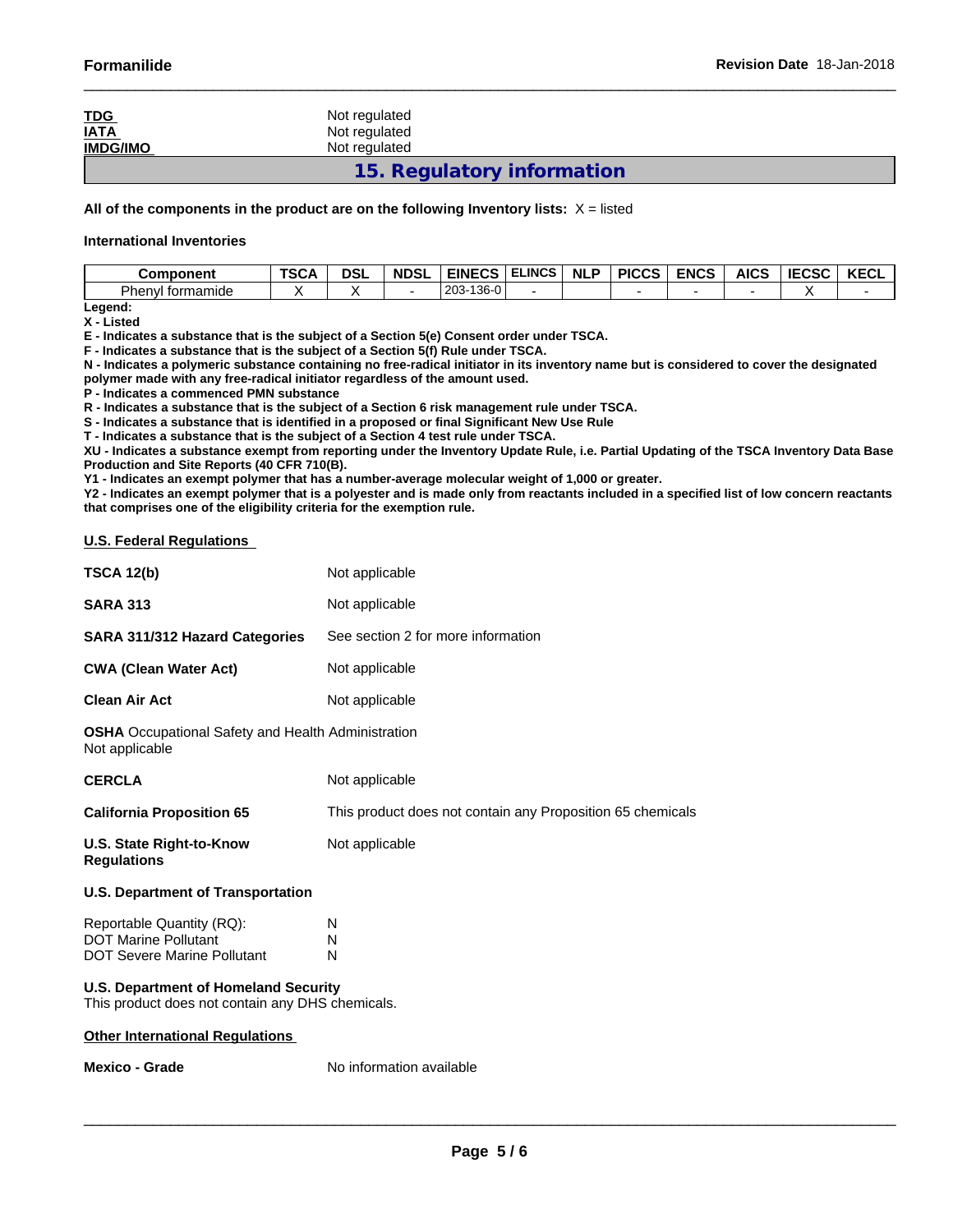| <u>TDG</u><br><b>IATA</b><br><b>IMDG/IMO</b> | Not regulated<br>Not regulated<br>Not regulated |  |
|----------------------------------------------|-------------------------------------------------|--|
|                                              | 15. Regulatory information                      |  |

**All of the components in the product are on the following Inventory lists:** X = listed

#### **International Inventories**

| <b>Component</b>      | TSC/<br>n | <b>DSL</b> | <b>NDSL</b><br>. | <b>EINECS</b><br>:v3                 | <b>ELINCS</b> | <b>NLP</b> | <b>PICCS</b> | <b>ENCS</b> | <b>AICS</b> | <b>IECSC</b> | $V = 0$<br>ะ⊍ะ<br><b>INL</b> |
|-----------------------|-----------|------------|------------------|--------------------------------------|---------------|------------|--------------|-------------|-------------|--------------|------------------------------|
| Phenyl<br>l formamide |           |            |                  | $\sqrt{2}$<br>0.00<br>-136-U<br>203- |               |            |              |             |             | . .          |                              |

**Legend: X - Listed**

**E - Indicates a substance that is the subject of a Section 5(e) Consent order under TSCA.**

**F - Indicates a substance that is the subject of a Section 5(f) Rule under TSCA.**

**N - Indicates a polymeric substance containing no free-radical initiator in its inventory name but is considered to cover the designated polymer made with any free-radical initiator regardless of the amount used.**

**P - Indicates a commenced PMN substance**

**R - Indicates a substance that is the subject of a Section 6 risk management rule under TSCA.**

**S - Indicates a substance that is identified in a proposed or final Significant New Use Rule**

**T - Indicates a substance that is the subject of a Section 4 test rule under TSCA.**

**XU - Indicates a substance exempt from reporting under the Inventory Update Rule, i.e. Partial Updating of the TSCA Inventory Data Base Production and Site Reports (40 CFR 710(B).**

**Y1 - Indicates an exempt polymer that has a number-average molecular weight of 1,000 or greater.**

**Y2 - Indicates an exempt polymer that is a polyester and is made only from reactants included in a specified list of low concern reactants that comprises one of the eligibility criteria for the exemption rule.**

#### **U.S. Federal Regulations**

| <b>Mexico - Grade</b>                                                       | No information available                                   |  |  |  |  |  |  |
|-----------------------------------------------------------------------------|------------------------------------------------------------|--|--|--|--|--|--|
| <b>Other International Regulations</b>                                      |                                                            |  |  |  |  |  |  |
| This product does not contain any DHS chemicals.                            |                                                            |  |  |  |  |  |  |
| <b>U.S. Department of Homeland Security</b>                                 |                                                            |  |  |  |  |  |  |
| <b>DOT Severe Marine Pollutant</b>                                          | N                                                          |  |  |  |  |  |  |
| Reportable Quantity (RQ):<br><b>DOT Marine Pollutant</b>                    | N<br>N                                                     |  |  |  |  |  |  |
| <b>U.S. Department of Transportation</b>                                    |                                                            |  |  |  |  |  |  |
| U.S. State Right-to-Know<br><b>Regulations</b>                              | Not applicable                                             |  |  |  |  |  |  |
| <b>California Proposition 65</b>                                            | This product does not contain any Proposition 65 chemicals |  |  |  |  |  |  |
| <b>CERCLA</b>                                                               | Not applicable                                             |  |  |  |  |  |  |
| <b>OSHA</b> Occupational Safety and Health Administration<br>Not applicable |                                                            |  |  |  |  |  |  |
| <b>Clean Air Act</b>                                                        | Not applicable                                             |  |  |  |  |  |  |
| <b>CWA (Clean Water Act)</b>                                                | Not applicable                                             |  |  |  |  |  |  |
| SARA 311/312 Hazard Categories                                              | See section 2 for more information                         |  |  |  |  |  |  |
| <b>SARA 313</b>                                                             | Not applicable                                             |  |  |  |  |  |  |
| <b>TSCA 12(b)</b>                                                           | Not applicable                                             |  |  |  |  |  |  |